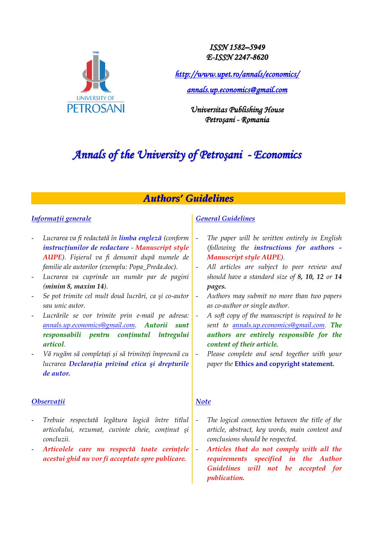

*ISSN 1582–5949 E-ISSN 2247-8620*

*<http://www.upet.ro/annals/economics/>*

*[annals.up.economics@gmail.com](mailto:annals.up.economics@gmail.com)* 

*Universitas Publishing House Petroşani - Romania*

# *Annals of the University of Petroşani - Economics*

# *Authors' Guidelines*

# *Informaţii generale*

- *Lucrarea va fi redactată în limba engleză (conform instrucţiunilor de redactare - Manuscript style AUPE). Fişierul va fi denumit după numele de familie ale autorilor (exemplu: Popa\_Preda.doc).*
- *Lucrarea va cuprinde un număr par de pagini (minim 8, maxim 14).*
- *Se pot trimite cel mult două lucrări, ca şi co-autor sau unic autor.*
- *Lucrările se vor trimite prin e-mail pe adresa: [annals.up.economics@gmail.com.](mailto:annals.up.economics@gmail.com) Autorii sunt responsabili pentru conţinutul întregului articol.*
- *Vă rugăm să completați și să trimiteți împreună cu lucrarea Declaraţia privind etica şi drepturile de autor.*

## *Observaţii*

- *Trebuie respectată legătura logică între titlul articolului, rezumat, cuvinte cheie, conţinut şi concluzii.*
- *Articolele care nu respectă toate cerinţele acestui ghid nu vor fi acceptate spre publicare.*

# *General Guidelines*

- *The paper will be written entirely in English (following the instructions for authors - Manuscript style AUPE).*
- *All articles are subject to peer review and should have a standard size of 8, 10, 12 or 14 pages.*
- *Authors may submit no more than two papers as co-author or single author.*
- *A soft copy of the manuscript is required to be sent to [annals.up.economics@gmail.com.](mailto:annals.up.economics@gmail.com) The authors are entirely responsible for the content of their article.*
- *Please complete and send together with your paper the* **Ethics and copyright statement***.*

## *Note*

- The logical connection between the title of the *article, abstract, key words, main content and conclusions should be respected.*
- *Articles that do not comply with all the requirements specified in the Author Guidelines will not be accepted for publication.*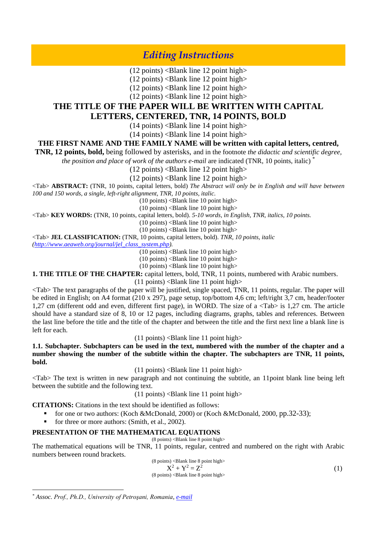# *Editing Instructions*

 $(12 \text{ points})$  <Blank line 12 point high>

 $(12 \text{ points})$  <Blank line 12 point high>

 $(12 \text{ points})$  <Blank line 12 point high>

 $(12 \text{ points})$  <Blank line 12 point high>

## **THE TITLE OF THE PAPER WILL BE WRITTEN WITH CAPITAL LETTERS, CENTERED, TNR, 14 POINTS, BOLD**

 $(14 \text{ points})$  <Blank line 14 point high>

 $(14 \text{ points})$  <Blank line 14 point high>

### **THE FIRST NAME AND THE FAMILY NAME will be written with capital letters, centred,**

**TNR, 12 points, bold,** being followed by asterisks, and in the footnote *the didactic and scientific degree,* 

*the position and place of work of the authors e-mail are indicated (TNR, 10 points, italic)*<sup>\*</sup>

 $(12 \text{ points})$  <Blank line 12 point high>

 $(12 \text{ points})$  <Blank line 12 point high>

<Tab> **ABSTRACT:** (TNR, 10 points, capital letters, bold) *The Abstract will only be in English and will have between 100 and 150 words, a single, left-right alignment, TNR, 10 points, italic.*

 $(10 \text{ points})$  <Blank line 10 point high>

 $(10 \text{ points})$  <Blank line 10 point high>

<Tab> **KEY WORDS:** (TNR, 10 points, capital letters, bold). *5-10 words, in English, TNR, italics, 10 points.*

 $(10 \text{ points})$  <Blank line 10 point high>

(10 points) <Blank line 10 point high>

<Tab> **JEL CLASSIFICATION:** (TNR, 10 points, capital letters, bold). *TNR, 10 points, italic*

*[\(http://www.aeaweb.org/journal/jel\\_class\\_system.php\)](http://www.aeaweb.org/journal/jel_class_system.php).*

 $(10 \text{ points})$  <Blank line 10 point high>

 $(10 \text{ points})$  <Blank line 10 point high>

 $(10 \text{ points})$  <Blank line 10 point high>

**1. THE TITLE OF THE CHAPTER:** capital letters, bold, TNR, 11 points, numbered with Arabic numbers.

 $(11 \text{ points})$  <Blank line 11 point high>

<Tab> The text paragraphs of the paper will be justified, single spaced, TNR, 11 points, regular. The paper will be edited in English; on A4 format (210 x 297), page setup, top/bottom 4,6 cm; left/right 3,7 cm, header/footer 1,27 cm (different odd and even, different first page), in WORD. The size of a <Tab> is 1,27 cm. The article should have a standard size of 8, 10 or 12 pages, including diagrams, graphs, tables and references. Between the last line before the title and the title of the chapter and between the title and the first next line a blank line is left for each.

 $(11$  points)  $\triangle$ Blank line 11 point high $>$ 

**1.1. Subchapter. Subchapters can be used in the text, numbered with the number of the chapter and a number showing the number of the subtitle within the chapter. The subchapters are TNR, 11 points, bold.**

 $(11 \text{ points})$  <Blank line 11 point high>

<Tab> The text is written in new paragraph and not continuing the subtitle, an 11point blank line being left between the subtitle and the following text.

 $(11 \text{ points})$  <Blank line 11 point high>

**CITATIONS:** Citations in the text should be identified as follows:

- for one or two authors: (Koch &McDonald, 2000) or (Koch &McDonald, 2000, pp.32-33);
- for three or more authors: (Smith, et al., 2002).

### **PRESENTATION OF THE MATHEMATICAL EQUATIONS**

 $(8 \text{ points})$  <Blank line 8 point high> The mathematical equations will be TNR, 11 points, regular, centred and numbered on the right with Arabic numbers between round brackets.

> $(8 \text{ points})$  <Blank line 8 point high>  $X^2 + Y^2 = Z^2$  (1)  $(8 \text{ points})$  <Blank line 8 point high>

 $\overline{a}$ 

*<sup>\*</sup> Assoc. Prof., Ph.D., University of Petroşani, Romania, e-mail*